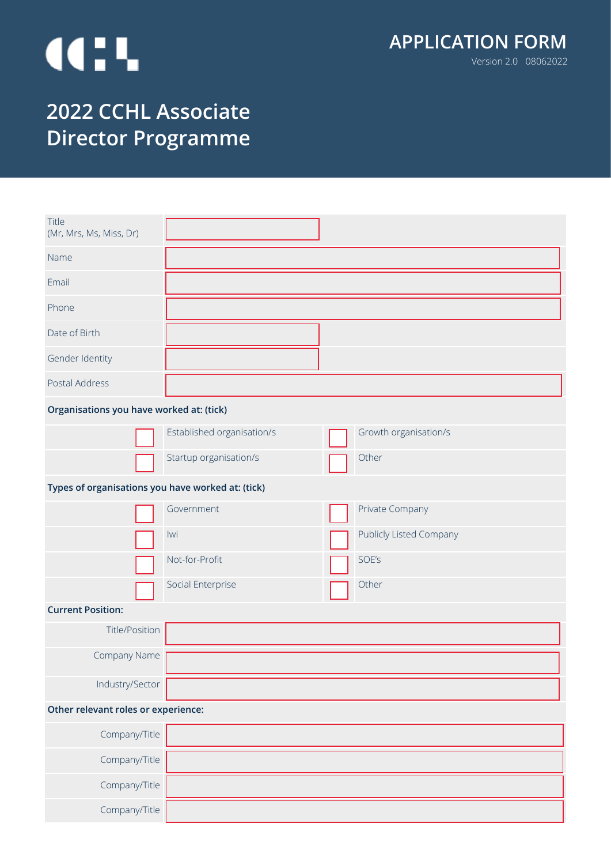# **III.**

# **2022 CCHL Associate Director Programme**

| Title<br>(Mr, Mrs, Ms, Miss, Dr)                  |                            |                         |
|---------------------------------------------------|----------------------------|-------------------------|
| Name                                              |                            |                         |
| Email                                             |                            |                         |
| Phone                                             |                            |                         |
| Date of Birth                                     |                            |                         |
| Gender Identity                                   |                            |                         |
| Postal Address                                    |                            |                         |
| Organisations you have worked at: (tick)          |                            |                         |
|                                                   | Established organisation/s | Growth organisation/s   |
|                                                   | Startup organisation/s     | Other                   |
| Types of organisations you have worked at: (tick) |                            |                         |
|                                                   | Government                 | Private Company         |
|                                                   | lwi                        | Publicly Listed Company |
|                                                   | Not-for-Profit             | SOE's                   |
|                                                   | Social Enterprise          | Other                   |
| <b>Current Position:</b>                          |                            |                         |
| Title/Position                                    |                            |                         |
| Company Name                                      |                            |                         |
| Industry/Sector                                   |                            |                         |
| Other relevant roles or experience:               |                            |                         |
| Company/Title                                     |                            |                         |
| Company/Title                                     |                            |                         |
| Company/Title                                     |                            |                         |
| Company/Title                                     |                            |                         |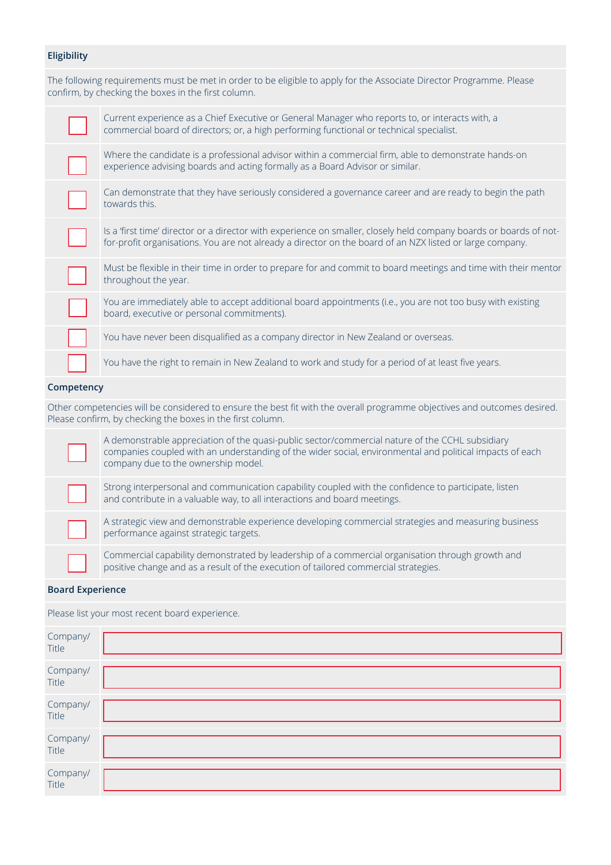### **Eligibility**

The following requirements must be met in order to be eligible to apply for the Associate Director Programme. Please confirm, by checking the boxes in the first column.

| Current experience as a Chief Executive or General Manager who reports to, or interacts with, a<br>commercial board of directors; or, a high performing functional or technical specialist.                                    |
|--------------------------------------------------------------------------------------------------------------------------------------------------------------------------------------------------------------------------------|
| Where the candidate is a professional advisor within a commercial firm, able to demonstrate hands-on<br>experience advising boards and acting formally as a Board Advisor or similar.                                          |
| Can demonstrate that they have seriously considered a governance career and are ready to begin the path<br>towards this.                                                                                                       |
| Is a 'first time' director or a director with experience on smaller, closely held company boards or boards of not-<br>for-profit organisations. You are not already a director on the board of an NZX listed or large company. |
| Must be flexible in their time in order to prepare for and commit to board meetings and time with their mentor<br>throughout the year.                                                                                         |
| You are immediately able to accept additional board appointments (i.e., you are not too busy with existing<br>board, executive or personal commitments).                                                                       |
| You have never been disqualified as a company director in New Zealand or overseas.                                                                                                                                             |
| You have the right to remain in New Zealand to work and study for a period of at least five years.                                                                                                                             |
|                                                                                                                                                                                                                                |

# **Competency**

Other competencies will be considered to ensure the best fit with the overall programme objectives and outcomes desired. Please confirm, by checking the boxes in the first column.

A demonstrable appreciation of the quasi-public sector/commercial nature of the CCHL subsidiary companies coupled with an understanding of the wider social, environmental and political impacts of each company due to the ownership model. Strong interpersonal and communication capability coupled with the confidence to participate, listen and contribute in a valuable way, to all interactions and board meetings. A strategic view and demonstrable experience developing commercial strategies and measuring business performance against strategic targets.

Commercial capability demonstrated by leadership of a commercial organisation through growth and positive change and as a result of the execution of tailored commercial strategies.

#### **Board Experience**

Please list your most recent board experience.

| Company/<br>Title |  |
|-------------------|--|
| Company/<br>Title |  |
| Company/<br>Title |  |
| Company/<br>Title |  |
| Company/<br>Title |  |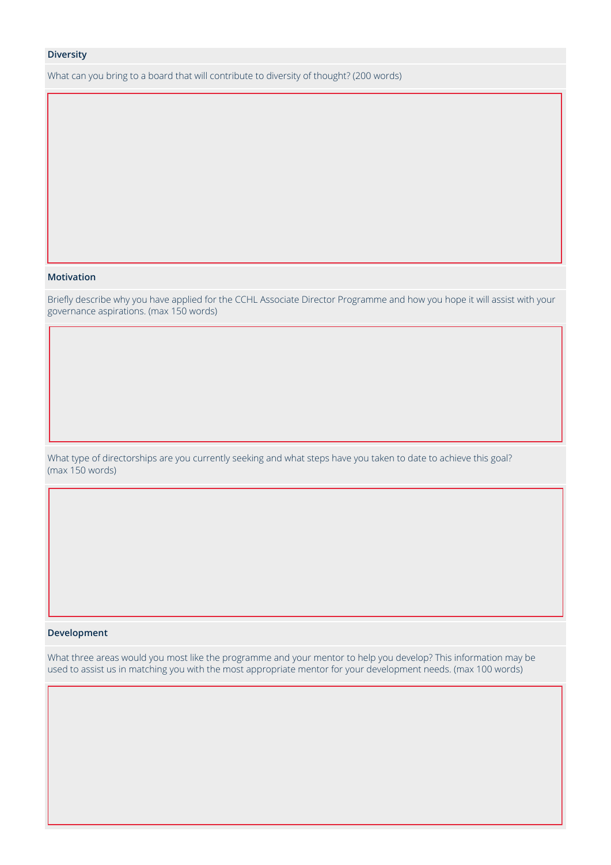#### **Diversity**

What can you bring to a board that will contribute to diversity of thought? (200 words)

#### **Motivation**

Briefly describe why you have applied for the CCHL Associate Director Programme and how you hope it will assist with your governance aspirations. (max 150 words)

What type of directorships are you currently seeking and what steps have you taken to date to achieve this goal? (max 150 words)

#### **Development**

What three areas would you most like the programme and your mentor to help you develop? This information may be used to assist us in matching you with the most appropriate mentor for your development needs. (max 100 words)